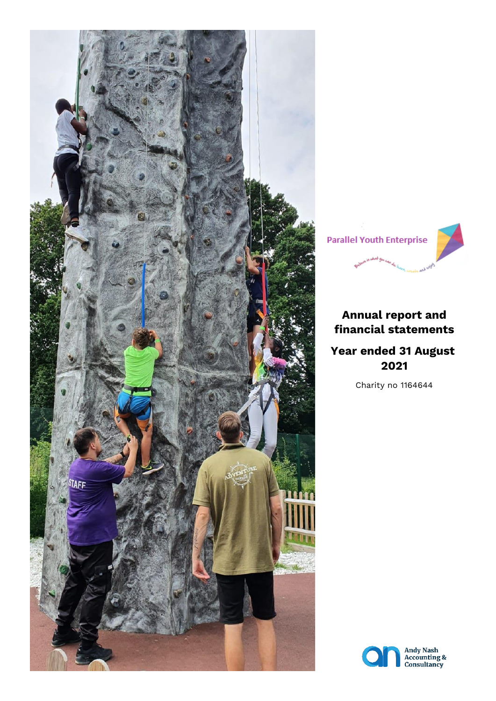



# **Annual report and financial statements**

# **Year ended 31 August 2021**

Charity no 1164644

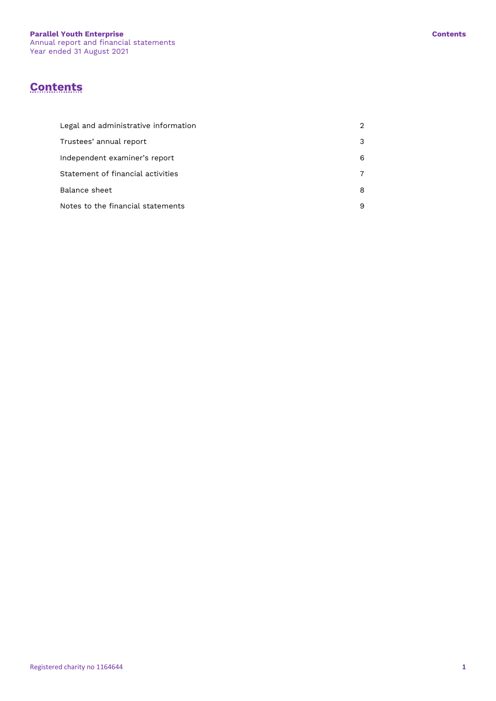# **Contents**

| Legal and administrative information |   |
|--------------------------------------|---|
| Trustees' annual report              | 3 |
| Independent examiner's report        | 6 |
| Statement of financial activities    |   |
| Balance sheet                        | 8 |
| Notes to the financial statements    | 9 |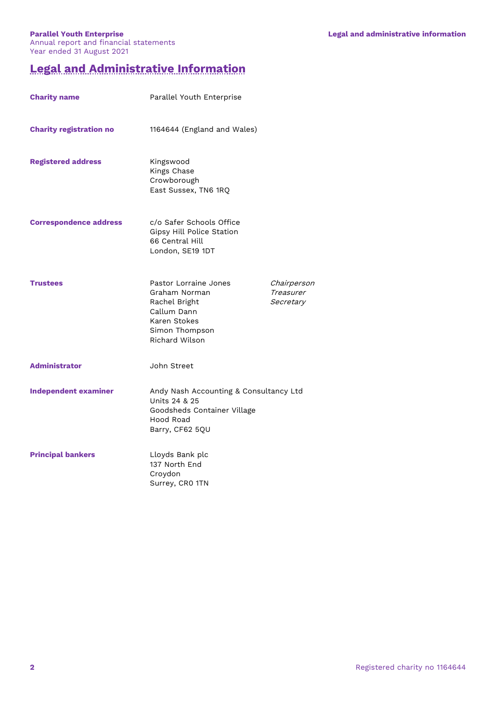# **Legal and Administrative Information**

| <b>Charity name</b>            | Parallel Youth Enterprise                                                                                                  |                                       |
|--------------------------------|----------------------------------------------------------------------------------------------------------------------------|---------------------------------------|
| <b>Charity registration no</b> | 1164644 (England and Wales)                                                                                                |                                       |
| <b>Registered address</b>      | Kingswood<br>Kings Chase<br>Crowborough<br>East Sussex, TN6 1RQ                                                            |                                       |
| <b>Correspondence address</b>  | c/o Safer Schools Office<br>Gipsy Hill Police Station<br>66 Central Hill<br>London, SE19 1DT                               |                                       |
| <b>Trustees</b>                | Pastor Lorraine Jones<br>Graham Norman<br>Rachel Bright<br>Callum Dann<br>Karen Stokes<br>Simon Thompson<br>Richard Wilson | Chairperson<br>Treasurer<br>Secretary |
| <b>Administrator</b>           | John Street                                                                                                                |                                       |
| <b>Independent examiner</b>    | Andy Nash Accounting & Consultancy Ltd<br>Units 24 & 25<br>Goodsheds Container Village<br>Hood Road<br>Barry, CF62 5QU     |                                       |
| <b>Principal bankers</b>       | Lloyds Bank plc<br>137 North End<br>Croydon<br>Surrey, CRO 1TN                                                             |                                       |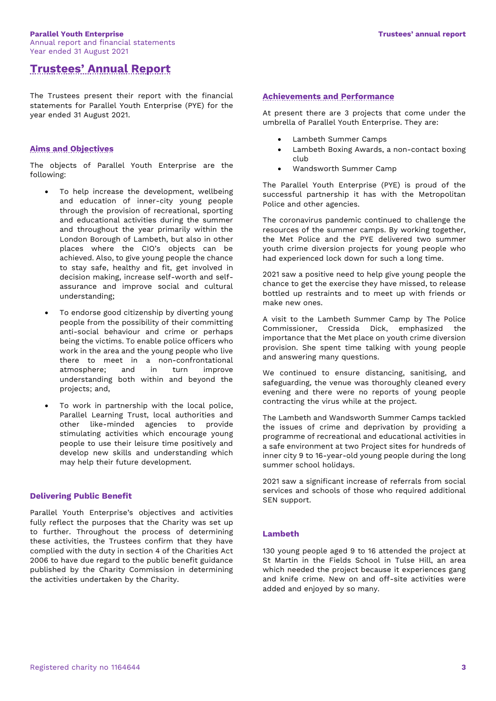#### **Parallel Youth Enterprise Trustees' annual report** Annual report and financial statements Year ended 31 August 2021

# **Trustees' Annual Report**

The Trustees present their report with the financial statements for Parallel Youth Enterprise (PYE) for the year ended 31 August 2021.

# **Aims and Objectives**

The objects of Parallel Youth Enterprise are the following:

- To help increase the development, wellbeing and education of inner-city young people through the provision of recreational, sporting and educational activities during the summer and throughout the year primarily within the London Borough of Lambeth, but also in other places where the CIO's objects can be achieved. Also, to give young people the chance to stay safe, healthy and fit, get involved in decision making, increase self-worth and selfassurance and improve social and cultural understanding;
- To endorse good citizenship by diverting young people from the possibility of their committing anti-social behaviour and crime or perhaps being the victims. To enable police officers who work in the area and the young people who live there to meet in a non-confrontational atmosphere; and in turn improve understanding both within and beyond the projects; and,
- To work in partnership with the local police, Parallel Learning Trust, local authorities and other like-minded agencies to provide stimulating activities which encourage young people to use their leisure time positively and develop new skills and understanding which may help their future development.

#### **Delivering Public Benefit**

Parallel Youth Enterprise's objectives and activities fully reflect the purposes that the Charity was set up to further. Throughout the process of determining these activities, the Trustees confirm that they have complied with the duty in section 4 of the Charities Act 2006 to have due regard to the public benefit guidance published by the Charity Commission in determining the activities undertaken by the Charity.

# **Achievements and Performance**

At present there are 3 projects that come under the umbrella of Parallel Youth Enterprise. They are:

- Lambeth Summer Camps
- Lambeth Boxing Awards, a non-contact boxing club
- Wandsworth Summer Camp

The Parallel Youth Enterprise (PYE) is proud of the successful partnership it has with the Metropolitan Police and other agencies.

The coronavirus pandemic continued to challenge the resources of the summer camps. By working together, the Met Police and the PYE delivered two summer youth crime diversion projects for young people who had experienced lock down for such a long time.

2021 saw a positive need to help give young people the chance to get the exercise they have missed, to release bottled up restraints and to meet up with friends or make new ones.

A visit to the Lambeth Summer Camp by The Police Commissioner, Cressida Dick, emphasized the importance that the Met place on youth crime diversion provision. She spent time talking with young people and answering many questions.

We continued to ensure distancing, sanitising, and safeguarding, the venue was thoroughly cleaned every evening and there were no reports of young people contracting the virus while at the project.

The Lambeth and Wandsworth Summer Camps tackled the issues of crime and deprivation by providing a programme of recreational and educational activities in a safe environment at two Project sites for hundreds of inner city 9 to 16-year-old young people during the long summer school holidays.

2021 saw a significant increase of referrals from social services and schools of those who required additional SEN support.

#### **Lambeth**

130 young people aged 9 to 16 attended the project at St Martin in the Fields School in Tulse Hill, an area which needed the project because it experiences gang and knife crime. New on and off-site activities were added and enjoyed by so many.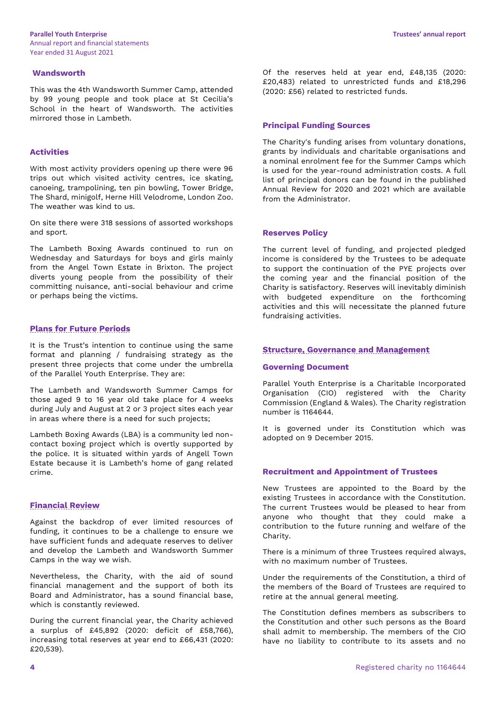### **Wandsworth**

This was the 4th Wandsworth Summer Camp, attended by 99 young people and took place at St Cecilia's School in the heart of Wandsworth. The activities mirrored those in Lambeth.

## **Activities**

With most activity providers opening up there were 96 trips out which visited activity centres, ice skating, canoeing, trampolining, ten pin bowling, Tower Bridge, The Shard, minigolf, Herne Hill Velodrome, London Zoo. The weather was kind to us.

On site there were 318 sessions of assorted workshops and sport.

The Lambeth Boxing Awards continued to run on Wednesday and Saturdays for boys and girls mainly from the Angel Town Estate in Brixton. The project diverts young people from the possibility of their committing nuisance, anti-social behaviour and crime or perhaps being the victims.

# **Plans for Future Periods**

It is the Trust's intention to continue using the same format and planning / fundraising strategy as the present three projects that come under the umbrella of the Parallel Youth Enterprise. They are:

The Lambeth and Wandsworth Summer Camps for those aged 9 to 16 year old take place for 4 weeks during July and August at 2 or 3 project sites each year in areas where there is a need for such projects;

Lambeth Boxing Awards (LBA) is a community led noncontact boxing project which is overtly supported by the police. It is situated within yards of Angell Town Estate because it is Lambeth's home of gang related crime.

## **Financial Review**

Against the backdrop of ever limited resources of funding, it continues to be a challenge to ensure we have sufficient funds and adequate reserves to deliver and develop the Lambeth and Wandsworth Summer Camps in the way we wish.

Nevertheless, the Charity, with the aid of sound financial management and the support of both its Board and Administrator, has a sound financial base, which is constantly reviewed.

During the current financial year, the Charity achieved a surplus of £45,892 (2020: deficit of £58,766), increasing total reserves at year end to £66,431 (2020: £20,539).

Of the reserves held at year end, £48,135 (2020: £20,483) related to unrestricted funds and £18,296 (2020: £56) related to restricted funds.

### **Principal Funding Sources**

The Charity's funding arises from voluntary donations, grants by individuals and charitable organisations and a nominal enrolment fee for the Summer Camps which is used for the year-round administration costs. A full list of principal donors can be found in the published Annual Review for 2020 and 2021 which are available from the Administrator.

#### **Reserves Policy**

The current level of funding, and projected pledged income is considered by the Trustees to be adequate to support the continuation of the PYE projects over the coming year and the financial position of the Charity is satisfactory. Reserves will inevitably diminish with budgeted expenditure on the forthcoming activities and this will necessitate the planned future fundraising activities.

#### **Structure, Governance and Management**

#### **Governing Document**

Parallel Youth Enterprise is a Charitable Incorporated Organisation (CIO) registered with the Charity Commission (England & Wales). The Charity registration number is 1164644.

It is governed under its Constitution which was adopted on 9 December 2015.

# **Recruitment and Appointment of Trustees**

New Trustees are appointed to the Board by the existing Trustees in accordance with the Constitution. The current Trustees would be pleased to hear from anyone who thought that they could make a contribution to the future running and welfare of the Charity.

There is a minimum of three Trustees required always. with no maximum number of Trustees.

Under the requirements of the Constitution, a third of the members of the Board of Trustees are required to retire at the annual general meeting.

The Constitution defines members as subscribers to the Constitution and other such persons as the Board shall admit to membership. The members of the CIO have no liability to contribute to its assets and no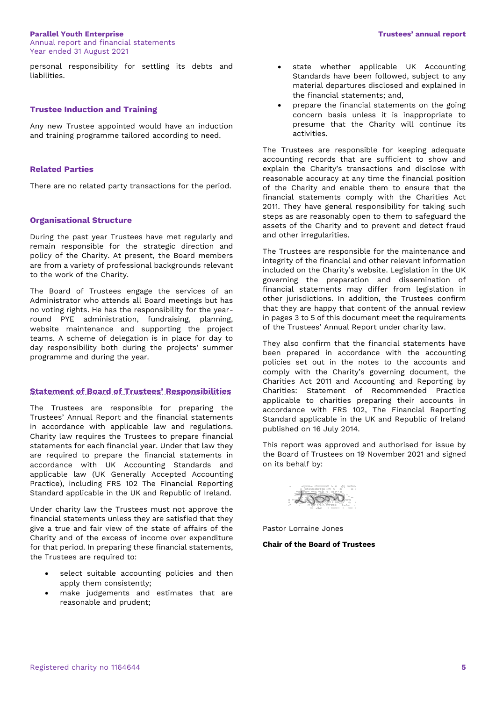#### **Parallel Youth Enterprise Trustees' annual report**

personal responsibility for settling its debts and liabilities.

#### **Trustee Induction and Training**

Any new Trustee appointed would have an induction and training programme tailored according to need.

## **Related Parties**

There are no related party transactions for the period.

#### **Organisational Structure**

During the past year Trustees have met regularly and remain responsible for the strategic direction and policy of the Charity. At present, the Board members are from a variety of professional backgrounds relevant to the work of the Charity.

The Board of Trustees engage the services of an Administrator who attends all Board meetings but has no voting rights. He has the responsibility for the yearround PYE administration, fundraising, planning, website maintenance and supporting the project teams. A scheme of delegation is in place for day to day responsibility both during the projects' summer programme and during the year.

### **Statement of Board of Trustees' Responsibilities**

The Trustees are responsible for preparing the Trustees' Annual Report and the financial statements in accordance with applicable law and regulations. Charity law requires the Trustees to prepare financial statements for each financial year. Under that law they are required to prepare the financial statements in accordance with UK Accounting Standards and applicable law (UK Generally Accepted Accounting Practice), including FRS 102 The Financial Reporting Standard applicable in the UK and Republic of Ireland.

Under charity law the Trustees must not approve the financial statements unless they are satisfied that they give a true and fair view of the state of affairs of the Charity and of the excess of income over expenditure for that period. In preparing these financial statements, the Trustees are required to:

- select suitable accounting policies and then apply them consistently;
- make judgements and estimates that are reasonable and prudent;
- state whether applicable UK Accounting Standards have been followed, subject to any material departures disclosed and explained in the financial statements; and,
- prepare the financial statements on the going concern basis unless it is inappropriate to presume that the Charity will continue its activities.

The Trustees are responsible for keeping adequate accounting records that are sufficient to show and explain the Charity's transactions and disclose with reasonable accuracy at any time the financial position of the Charity and enable them to ensure that the financial statements comply with the Charities Act 2011. They have general responsibility for taking such steps as are reasonably open to them to safeguard the assets of the Charity and to prevent and detect fraud and other irregularities.

The Trustees are responsible for the maintenance and integrity of the financial and other relevant information included on the Charity's website. Legislation in the UK governing the preparation and dissemination of financial statements may differ from legislation in other jurisdictions. In addition, the Trustees confirm that they are happy that content of the annual review in pages 3 to 5 of this document meet the requirements of the Trustees' Annual Report under charity law.

They also confirm that the financial statements have been prepared in accordance with the accounting policies set out in the notes to the accounts and comply with the Charity's governing document, the Charities Act 2011 and Accounting and Reporting by Charities: Statement of Recommended Practice applicable to charities preparing their accounts in accordance with FRS 102, The Financial Reporting Standard applicable in the UK and Republic of Ireland published on 16 July 2014.

This report was approved and authorised for issue by the Board of Trustees on 19 November 2021 and signed on its behalf by:

JOON

Pastor Lorraine Jones

#### **Chair of the Board of Trustees**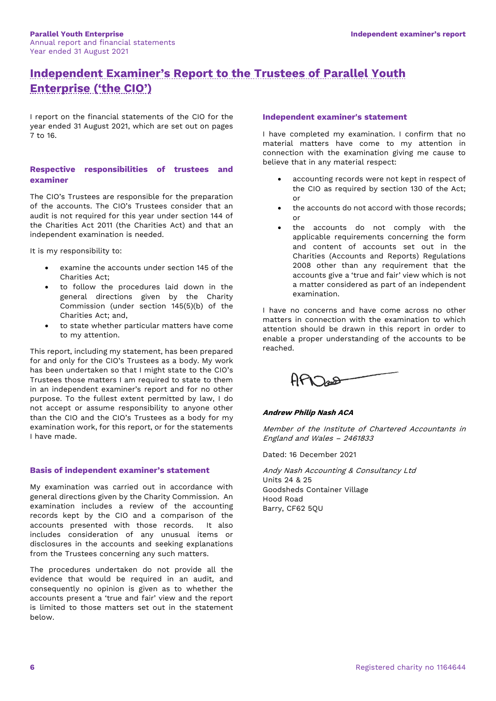# **Independent Examiner's Report to the Trustees of Parallel Youth Enterprise ('the CIO')**

I report on the financial statements of the CIO for the year ended 31 August 2021, which are set out on pages 7 to 16.

# **Respective responsibilities of trustees and examiner**

The CIO's Trustees are responsible for the preparation of the accounts. The CIO's Trustees consider that an audit is not required for this year under section 144 of the Charities Act 2011 (the Charities Act) and that an independent examination is needed.

It is my responsibility to:

- examine the accounts under section 145 of the Charities Act;
- to follow the procedures laid down in the general directions given by the Charity Commission (under section 145(5)(b) of the Charities Act; and,
- to state whether particular matters have come to my attention.

This report, including my statement, has been prepared for and only for the CIO's Trustees as a body. My work has been undertaken so that I might state to the CIO's Trustees those matters I am required to state to them in an independent examiner's report and for no other purpose. To the fullest extent permitted by law, I do not accept or assume responsibility to anyone other than the CIO and the CIO's Trustees as a body for my examination work, for this report, or for the statements I have made.

# **Basis of independent examiner's statement**

My examination was carried out in accordance with general directions given by the Charity Commission. An examination includes a review of the accounting records kept by the CIO and a comparison of the accounts presented with those records. It also includes consideration of any unusual items or disclosures in the accounts and seeking explanations from the Trustees concerning any such matters.

The procedures undertaken do not provide all the evidence that would be required in an audit, and consequently no opinion is given as to whether the accounts present a 'true and fair' view and the report is limited to those matters set out in the statement below.

## **Independent examiner's statement**

I have completed my examination. I confirm that no material matters have come to my attention in connection with the examination giving me cause to believe that in any material respect:

- accounting records were not kept in respect of the CIO as required by section 130 of the Act; or
- the accounts do not accord with those records: or
- the accounts do not comply with the applicable requirements concerning the form and content of accounts set out in the Charities (Accounts and Reports) Regulations 2008 other than any requirement that the accounts give a 'true and fair' view which is not a matter considered as part of an independent examination.

I have no concerns and have come across no other matters in connection with the examination to which attention should be drawn in this report in order to enable a proper understanding of the accounts to be reached.



# **Andrew Philip Nash ACA**

Member of the Institute of Chartered Accountants in England and Wales – 2461833

Dated: 16 December 2021

Andy Nash Accounting & Consultancy Ltd Units 24 & 25 Goodsheds Container Village Hood Road Barry, CF62 5QU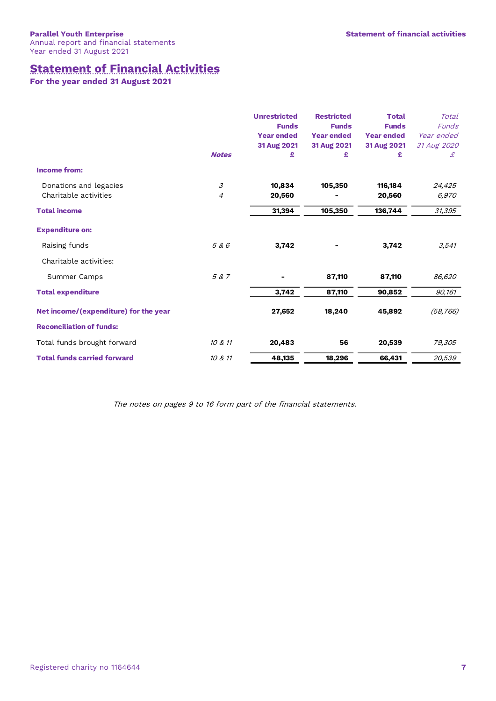# **Statement of Financial Activities**

**For the year ended 31 August 2021**

|                                                 | <b>Notes</b> | <b>Unrestricted</b><br><b>Funds</b><br><b>Year ended</b><br>31 Aug 2021<br>£ | <b>Restricted</b><br><b>Funds</b><br><b>Year ended</b><br>31 Aug 2021<br>£ | <b>Total</b><br><b>Funds</b><br><b>Year ended</b><br>31 Aug 2021<br>£ | Total<br><b>Funds</b><br>Year ended<br>31 Aug 2020<br>£ |
|-------------------------------------------------|--------------|------------------------------------------------------------------------------|----------------------------------------------------------------------------|-----------------------------------------------------------------------|---------------------------------------------------------|
| <b>Income from:</b>                             |              |                                                                              |                                                                            |                                                                       |                                                         |
| Donations and legacies<br>Charitable activities | 3<br>4       | 10,834<br>20,560                                                             | 105,350                                                                    | 116,184<br>20,560                                                     | 24,425<br>6,970                                         |
| <b>Total income</b>                             |              | 31,394                                                                       | 105,350                                                                    | 136,744                                                               | 31,395                                                  |
| <b>Expenditure on:</b>                          |              |                                                                              |                                                                            |                                                                       |                                                         |
| Raising funds                                   | 5 & 6        | 3,742                                                                        |                                                                            | 3,742                                                                 | 3,541                                                   |
| Charitable activities:                          |              |                                                                              |                                                                            |                                                                       |                                                         |
| Summer Camps                                    | 5 & 7        |                                                                              | 87,110                                                                     | 87,110                                                                | 86,620                                                  |
| <b>Total expenditure</b>                        |              | 3,742                                                                        | 87,110                                                                     | 90,852                                                                | 90,161                                                  |
| Net income/(expenditure) for the year           |              | 27,652                                                                       | 18,240                                                                     | 45,892                                                                | (58, 766)                                               |
| <b>Reconciliation of funds:</b>                 |              |                                                                              |                                                                            |                                                                       |                                                         |
| Total funds brought forward                     | 10 & 11      | 20,483                                                                       | 56                                                                         | 20,539                                                                | 79,305                                                  |
| <b>Total funds carried forward</b>              | 10 & 11      | 48,135                                                                       | 18,296                                                                     | 66,431                                                                | 20,539                                                  |

The notes on pages 9 to 16 form part of the financial statements.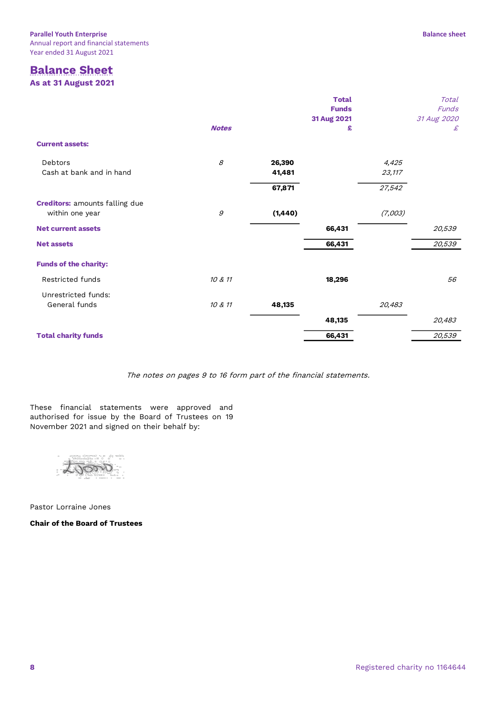# **Balance Sheet As at 31 August 2021**

|                                                          |              |          | <b>Total</b><br><b>Funds</b><br>31 Aug 2021 |         | Total<br>Funds<br>31 Aug 2020 |
|----------------------------------------------------------|--------------|----------|---------------------------------------------|---------|-------------------------------|
|                                                          | <b>Notes</b> |          | £                                           |         | £                             |
| <b>Current assets:</b>                                   |              |          |                                             |         |                               |
| Debtors                                                  | 8            | 26,390   |                                             | 4,425   |                               |
| Cash at bank and in hand                                 |              | 41,481   |                                             | 23,117  |                               |
|                                                          |              | 67,871   |                                             | 27,542  |                               |
| <b>Creditors:</b> amounts falling due<br>within one year | 9            | (1, 440) |                                             | (7,003) |                               |
| <b>Net current assets</b>                                |              |          | 66,431                                      |         | 20,539                        |
| <b>Net assets</b>                                        |              |          | 66,431                                      |         | 20,539                        |
| <b>Funds of the charity:</b>                             |              |          |                                             |         |                               |
| Restricted funds                                         | 10 & 11      |          | 18,296                                      |         | 56                            |
| Unrestricted funds:                                      |              |          |                                             |         |                               |
| General funds                                            | 10 & 11      | 48,135   |                                             | 20,483  |                               |
|                                                          |              |          | 48,135                                      |         | 20,483                        |
| <b>Total charity funds</b>                               |              |          | 66,431                                      |         | 20,539                        |

The notes on pages 9 to 16 form part of the financial statements.

These financial statements were approved and authorised for issue by the Board of Trustees on 19 November 2021 and signed on their behalf by:

troon

Pastor Lorraine Jones

**Chair of the Board of Trustees**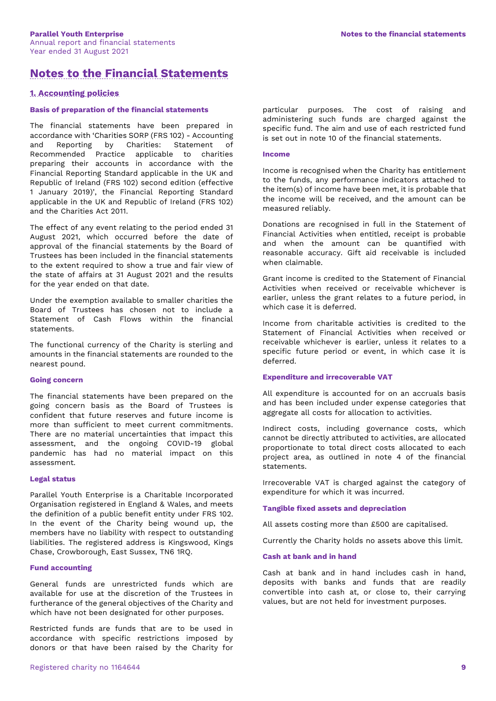# **Notes to the Financial Statements**

# **1. Accounting policies**

#### **Basis of preparation of the financial statements**

The financial statements have been prepared in accordance with 'Charities SORP (FRS 102) - Accounting and Reporting by Charities: Statement of Recommended Practice applicable to charities preparing their accounts in accordance with the Financial Reporting Standard applicable in the UK and Republic of Ireland (FRS 102) second edition (effective 1 January 2019)', the Financial Reporting Standard applicable in the UK and Republic of Ireland (FRS 102) and the Charities Act 2011.

The effect of any event relating to the period ended 31 August 2021, which occurred before the date of approval of the financial statements by the Board of Trustees has been included in the financial statements to the extent required to show a true and fair view of the state of affairs at 31 August 2021 and the results for the year ended on that date.

Under the exemption available to smaller charities the Board of Trustees has chosen not to include a Statement of Cash Flows within the financial statements.

The functional currency of the Charity is sterling and amounts in the financial statements are rounded to the nearest pound.

#### **Going concern**

The financial statements have been prepared on the going concern basis as the Board of Trustees is confident that future reserves and future income is more than sufficient to meet current commitments. There are no material uncertainties that impact this assessment, and the ongoing COVID-19 global pandemic has had no material impact on this assessment.

#### **Legal status**

Parallel Youth Enterprise is a Charitable Incorporated Organisation registered in England & Wales, and meets the definition of a public benefit entity under FRS 102. In the event of the Charity being wound up, the members have no liability with respect to outstanding liabilities. The registered address is Kingswood, Kings Chase, Crowborough, East Sussex, TN6 1RQ.

#### **Fund accounting**

General funds are unrestricted funds which are available for use at the discretion of the Trustees in furtherance of the general objectives of the Charity and which have not been designated for other purposes.

Restricted funds are funds that are to be used in accordance with specific restrictions imposed by donors or that have been raised by the Charity for particular purposes. The cost of raising and administering such funds are charged against the specific fund. The aim and use of each restricted fund is set out in note 10 of the financial statements.

#### **Income**

Income is recognised when the Charity has entitlement to the funds, any performance indicators attached to the item(s) of income have been met, it is probable that the income will be received, and the amount can be measured reliably.

Donations are recognised in full in the Statement of Financial Activities when entitled, receipt is probable and when the amount can be quantified with reasonable accuracy. Gift aid receivable is included when claimable.

Grant income is credited to the Statement of Financial Activities when received or receivable whichever is earlier, unless the grant relates to a future period, in which case it is deferred.

Income from charitable activities is credited to the Statement of Financial Activities when received or receivable whichever is earlier, unless it relates to a specific future period or event, in which case it is deferred.

#### **Expenditure and irrecoverable VAT**

All expenditure is accounted for on an accruals basis and has been included under expense categories that aggregate all costs for allocation to activities.

Indirect costs, including governance costs, which cannot be directly attributed to activities, are allocated proportionate to total direct costs allocated to each project area, as outlined in note 4 of the financial statements.

Irrecoverable VAT is charged against the category of expenditure for which it was incurred.

#### **Tangible fixed assets and depreciation**

All assets costing more than £500 are capitalised.

Currently the Charity holds no assets above this limit.

### **Cash at bank and in hand**

Cash at bank and in hand includes cash in hand, deposits with banks and funds that are readily convertible into cash at, or close to, their carrying values, but are not held for investment purposes.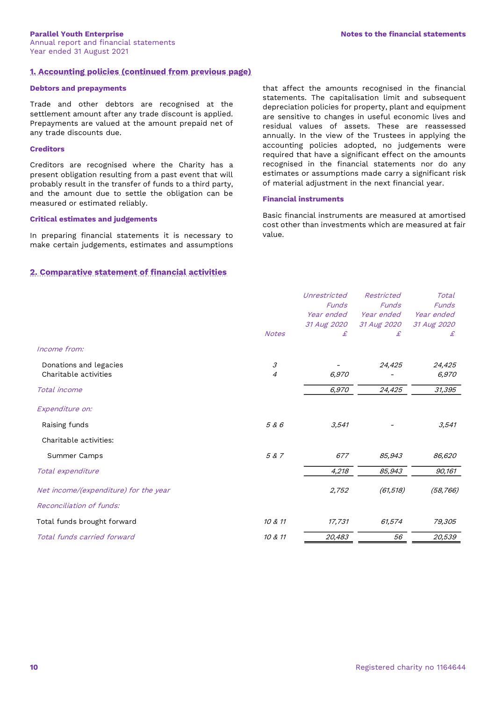# **1. Accounting policies (continued from previous page)**

#### **Debtors and prepayments**

Trade and other debtors are recognised at the settlement amount after any trade discount is applied. Prepayments are valued at the amount prepaid net of any trade discounts due.

#### **Creditors**

Creditors are recognised where the Charity has a present obligation resulting from a past event that will probably result in the transfer of funds to a third party, and the amount due to settle the obligation can be measured or estimated reliably.

#### **Critical estimates and judgements**

In preparing financial statements it is necessary to make certain judgements, estimates and assumptions

# **2. Comparative statement of financial activities**

that affect the amounts recognised in the financial statements. The capitalisation limit and subsequent depreciation policies for property, plant and equipment are sensitive to changes in useful economic lives and residual values of assets. These are reassessed annually. In the view of the Trustees in applying the accounting policies adopted, no judgements were required that have a significant effect on the amounts recognised in the financial statements nor do any estimates or assumptions made carry a significant risk of material adjustment in the next financial year.

# **Financial instruments**

Basic financial instruments are measured at amortised cost other than investments which are measured at fair value.

|                                       |                | Unrestricted<br><b>Funds</b> | Restricted<br><b>Funds</b> | Total<br>Funds |
|---------------------------------------|----------------|------------------------------|----------------------------|----------------|
|                                       |                | Year ended                   | Year ended                 | Year ended     |
|                                       |                | 31 Aug 2020                  | 31 Aug 2020                | 31 Aug 2020    |
|                                       | <b>Notes</b>   | £                            | £                          | £              |
| Income from:                          |                |                              |                            |                |
| Donations and legacies                | 3              |                              | 24,425                     | 24,425         |
| Charitable activities                 | $\overline{4}$ | 6,970                        |                            | 6,970          |
| Total income                          |                | 6,970                        | 24,425                     | 31,395         |
| Expenditure on:                       |                |                              |                            |                |
| Raising funds                         | 5 & 6          | 3,541                        |                            | 3,541          |
| Charitable activities:                |                |                              |                            |                |
| Summer Camps                          | 5 & 7          | 677                          | 85,943                     | 86,620         |
| Total expenditure                     |                | 4,218                        | 85,943                     | 90,161         |
| Net income/(expenditure) for the year |                | 2,752                        | (61, 518)                  | (58, 766)      |
| Reconciliation of funds:              |                |                              |                            |                |
| Total funds brought forward           | 10 & 11        | 17,731                       | 61,574                     | 79,305         |
| Total funds carried forward           | 10 & 11        | 20,483                       | 56                         | 20,539         |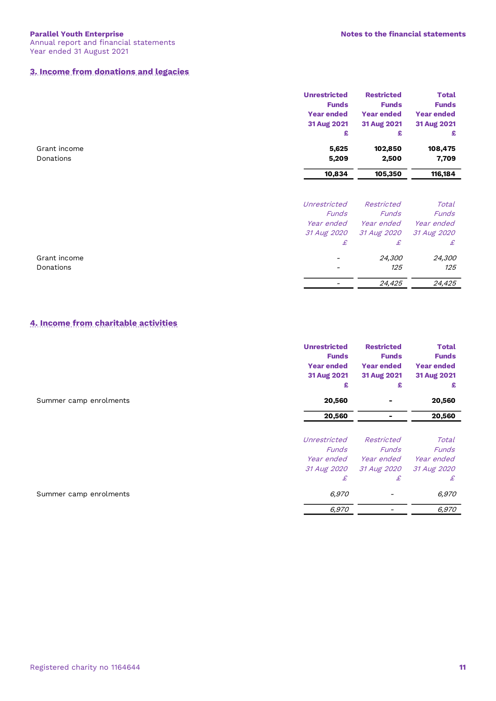# **3. Income from donations and legacies**

|              | <b>Unrestricted</b> | <b>Restricted</b> | <b>Total</b>      |
|--------------|---------------------|-------------------|-------------------|
|              | <b>Funds</b>        | <b>Funds</b>      | <b>Funds</b>      |
|              | <b>Year ended</b>   | <b>Year ended</b> | <b>Year ended</b> |
|              | 31 Aug 2021         | 31 Aug 2021       | 31 Aug 2021       |
|              | £                   | £                 | £                 |
| Grant income | 5,625               | 102,850           | 108,475           |
| Donations    | 5,209               | 2,500             | 7,709             |
|              | 10,834              | 105,350           | 116,184           |
|              | Unrestricted        | Restricted        | Total             |
|              | <b>Funds</b>        | <b>Funds</b>      | Funds             |
|              | Year ended          | <i>Year ended</i> | Year ended        |
|              | 31 Aug 2020         | 31 Aug 2020       | 31 Aug 2020       |
|              | £                   | £                 | £                 |
| Grant income |                     | 24,300            | 24,300            |
| Donations    |                     | 125               | 125               |
|              |                     | 24,425            | 24,425            |

# **4. Income from charitable activities**

|                        | <b>Unrestricted</b><br><b>Funds</b><br><b>Year ended</b><br>31 Aug 2021<br>£ | <b>Restricted</b><br><b>Funds</b><br><b>Year ended</b><br>31 Aug 2021<br>£ | <b>Total</b><br><b>Funds</b><br><b>Year ended</b><br>31 Aug 2021<br>£ |
|------------------------|------------------------------------------------------------------------------|----------------------------------------------------------------------------|-----------------------------------------------------------------------|
| Summer camp enrolments | 20,560                                                                       |                                                                            | 20,560                                                                |
|                        | 20,560                                                                       |                                                                            | 20,560                                                                |
|                        |                                                                              |                                                                            |                                                                       |
|                        | Unrestricted                                                                 | Restricted                                                                 | Total                                                                 |
|                        | <b>Funds</b>                                                                 | <b>Funds</b>                                                               | Funds                                                                 |
|                        |                                                                              | Year ended Year ended                                                      | Year ended                                                            |
|                        | 31 Aug 2020                                                                  | 31 Aug 2020                                                                | 31 Aug 2020                                                           |
|                        | £                                                                            | £                                                                          | £                                                                     |
| Summer camp enrolments | 6,970                                                                        |                                                                            | 6,970                                                                 |
|                        | 6,970                                                                        |                                                                            | 6,970                                                                 |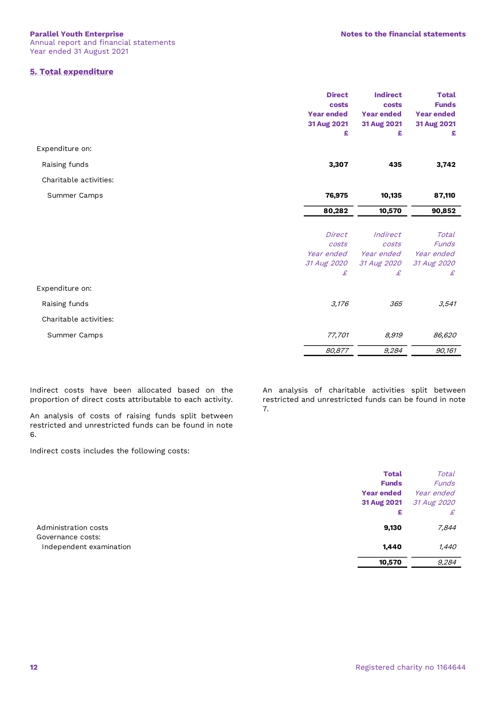# **5. Total expenditure**

|                        | <b>Direct</b>     | <b>Indirect</b>   | <b>Total</b>      |
|------------------------|-------------------|-------------------|-------------------|
|                        | costs             | costs             | <b>Funds</b>      |
|                        | <b>Year ended</b> | <b>Year ended</b> | <b>Year ended</b> |
|                        | 31 Aug 2021       | 31 Aug 2021       | 31 Aug 2021       |
|                        | £                 | £                 | £                 |
| Expenditure on:        |                   |                   |                   |
| Raising funds          | 3,307             | 435               | 3,742             |
| Charitable activities: |                   |                   |                   |
| Summer Camps           | 76,975            | 10,135            | 87,110            |
|                        | 80,282            | 10,570            | 90,852            |
|                        |                   |                   |                   |
|                        | Direct            | Indirect          | Total             |
|                        | costs             | costs             | Funds             |
|                        | Year ended        | Year ended        | Year ended        |
|                        | 31 Aug 2020       | 31 Aug 2020       | 31 Aug 2020       |
|                        | £                 | £                 | £                 |
| Expenditure on:        |                   |                   |                   |
| Raising funds          | 3,176             | 365               | 3,541             |
| Charitable activities: |                   |                   |                   |
| Summer Camps           | 77,701            | 8,919             | 86,620            |
|                        | 80,877            | 9,284             | 90,161            |

Indirect costs have been allocated based on the proportion of direct costs attributable to each activity.

An analysis of costs of raising funds split between restricted and unrestricted funds can be found in note 6.

Indirect costs includes the following costs:

An analysis of charitable activities split between restricted and unrestricted funds can be found in note 7.

|                         | <b>Total</b>      | Total        |
|-------------------------|-------------------|--------------|
|                         | <b>Funds</b>      | <b>Funds</b> |
|                         | <b>Year ended</b> | Year ended   |
|                         | 31 Aug 2021       | 31 Aug 2020  |
|                         | £                 | £            |
| Administration costs    | 9,130             | 7,844        |
| Governance costs:       |                   |              |
| Independent examination | 1,440             | 1,440        |
|                         | 10,570            | 9,284        |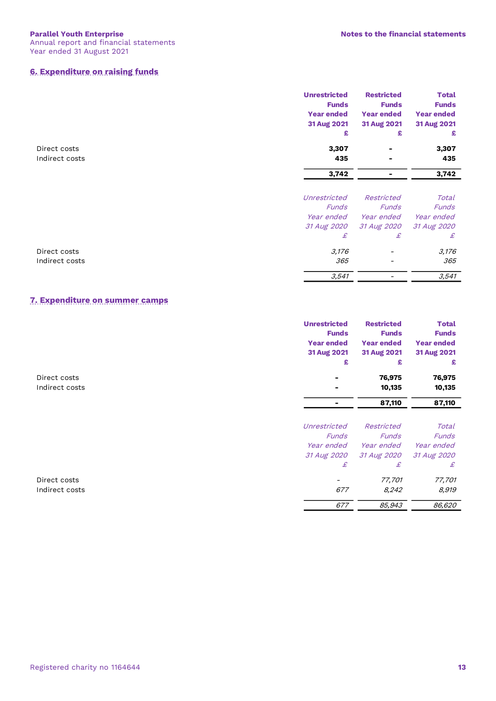# **6. Expenditure on raising funds**

|                | <b>Unrestricted</b> | <b>Restricted</b> | <b>Total</b>      |
|----------------|---------------------|-------------------|-------------------|
|                | <b>Funds</b>        | <b>Funds</b>      | <b>Funds</b>      |
|                | <b>Year ended</b>   | <b>Year ended</b> | <b>Year ended</b> |
|                | 31 Aug 2021         | 31 Aug 2021       | 31 Aug 2021       |
|                | £                   | £                 | £                 |
| Direct costs   | 3,307               |                   | 3,307             |
| Indirect costs | 435                 |                   | 435               |
|                | 3,742               |                   | 3,742             |
|                | Unrestricted        | Restricted        | Total             |
|                | <b>Funds</b>        | <b>Funds</b>      | <b>Funds</b>      |
|                | Year ended          | <i>Year ended</i> | Year ended        |
|                | 31 Aug 2020         | 31 Aug 2020       | 31 Aug 2020       |
|                | £                   | £                 | £                 |
| Direct costs   | 3,176               |                   | 3,176             |
| Indirect costs | 365                 | -                 | 365               |
|                | 3,541               |                   | 3,541             |

# **7. Expenditure on summer camps**

|                | <b>Unrestricted</b><br><b>Funds</b> | <b>Restricted</b><br><b>Funds</b> | <b>Total</b><br><b>Funds</b> |
|----------------|-------------------------------------|-----------------------------------|------------------------------|
|                | <b>Year ended</b>                   | <b>Year ended</b>                 | <b>Year ended</b>            |
|                | 31 Aug 2021                         | 31 Aug 2021                       | 31 Aug 2021                  |
|                | £                                   | £                                 | £                            |
| Direct costs   |                                     | 76,975                            | 76,975                       |
| Indirect costs |                                     | 10,135                            | 10,135                       |
|                |                                     | 87,110                            | 87,110                       |
|                | Unrestricted                        | Restricted                        | Total                        |
|                | <b>Funds</b>                        | <b>Funds</b>                      | <b>Funds</b>                 |
|                | Year ended                          | Year ended                        | Year ended                   |
|                | 31 Aug 2020                         | 31 Aug 2020                       | 31 Aug 2020                  |
|                | £                                   | £                                 | £                            |
| Direct costs   |                                     | 77,701                            | 77,701                       |
| Indirect costs | 677                                 | 8,242                             | 8,919                        |
|                | 677                                 | 85,943                            | 86,620                       |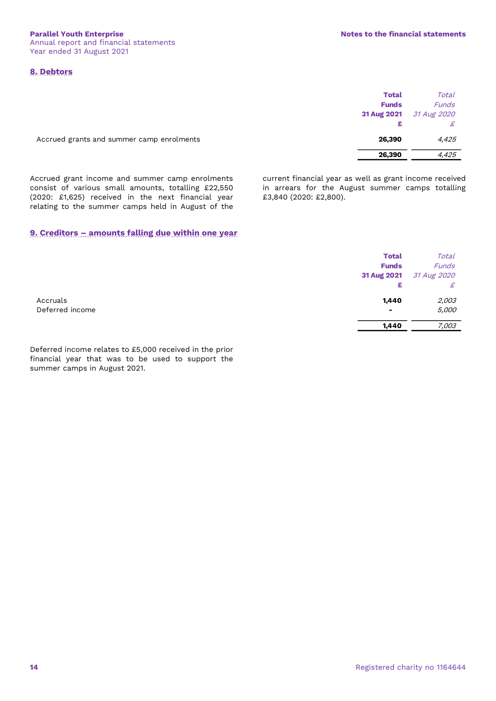# **8. Debtors**

|                                           | Total<br><b>Funds</b> | Total<br><b>Funds</b>   |
|-------------------------------------------|-----------------------|-------------------------|
|                                           |                       | 31 Aug 2021 31 Aug 2020 |
| Accrued grants and summer camp enrolments | 26,390                | 4,425                   |
|                                           | 26,390                | 4,425                   |

Accrued grant income and summer camp enrolments consist of various small amounts, totalling £22,550 (2020: £1,625) received in the next financial year relating to the summer camps held in August of the current financial year as well as grant income received in arrears for the August summer camps totalling £3,840 (2020: £2,800).

# **9. Creditors – amounts falling due within one year**

|                 | <b>Total</b><br><b>Funds</b><br>31 Aug 2021<br>£ | Total<br><b>Funds</b><br>31 Aug 2020<br>£ |
|-----------------|--------------------------------------------------|-------------------------------------------|
| Accruals        | 1,440                                            | 2,003                                     |
| Deferred income | $\blacksquare$                                   | 5,000                                     |
|                 | 1,440                                            | 7,003                                     |

Deferred income relates to £5,000 received in the prior financial year that was to be used to support the summer camps in August 2021.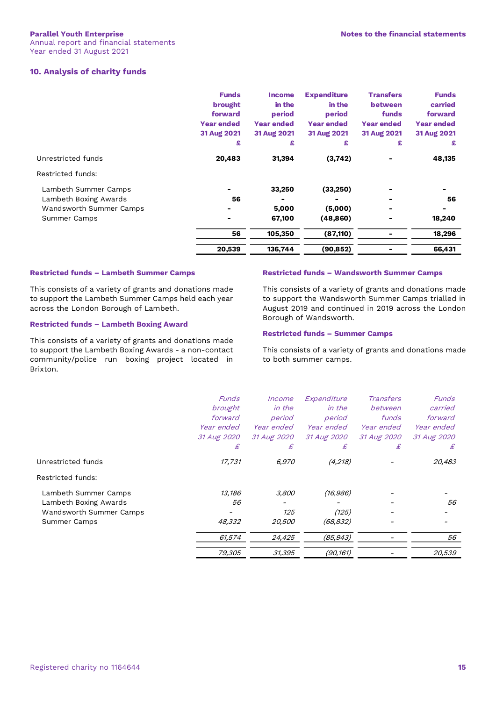# **10. Analysis of charity funds**

|                                                                                          | <b>Funds</b><br>brought<br>forward<br><b>Year ended</b><br>31 Aug 2021<br>£ | <b>Income</b><br>in the<br>period<br><b>Year ended</b><br>31 Aug 2021<br>£ | <b>Expenditure</b><br>in the<br>period<br><b>Year ended</b><br>31 Aug 2021<br>£ | <b>Transfers</b><br>between<br>funds<br><b>Year ended</b><br>31 Aug 2021<br>£ | <b>Funds</b><br>carried<br>forward<br><b>Year ended</b><br>31 Aug 2021<br>£ |
|------------------------------------------------------------------------------------------|-----------------------------------------------------------------------------|----------------------------------------------------------------------------|---------------------------------------------------------------------------------|-------------------------------------------------------------------------------|-----------------------------------------------------------------------------|
| Unrestricted funds                                                                       | 20,483                                                                      | 31,394                                                                     | (3,742)                                                                         |                                                                               | 48,135                                                                      |
| Restricted funds:                                                                        |                                                                             |                                                                            |                                                                                 |                                                                               |                                                                             |
| Lambeth Summer Camps<br>Lambeth Boxing Awards<br>Wandsworth Summer Camps<br>Summer Camps | 56                                                                          | 33,250<br>5,000<br>67,100                                                  | (33,250)<br>(5,000)<br>(48, 860)                                                |                                                                               | 56<br>18,240                                                                |
|                                                                                          | 56                                                                          | 105,350                                                                    | (87, 110)                                                                       |                                                                               | 18,296                                                                      |
|                                                                                          | 20,539                                                                      | 136,744                                                                    | (90, 852)                                                                       |                                                                               | 66,431                                                                      |

#### **Restricted funds – Lambeth Summer Camps**

This consists of a variety of grants and donations made to support the Lambeth Summer Camps held each year across the London Borough of Lambeth.

### **Restricted funds – Lambeth Boxing Award**

This consists of a variety of grants and donations made to support the Lambeth Boxing Awards - a non-contact community/police run boxing project located in Brixton.

#### **Restricted funds – Wandsworth Summer Camps**

This consists of a variety of grants and donations made to support the Wandsworth Summer Camps trialled in August 2019 and continued in 2019 across the London Borough of Wandsworth.

### **Restricted funds – Summer Camps**

This consists of a variety of grants and donations made to both summer camps.

|                         | <b>Funds</b>      | Income        | Expenditure | <b>Transfers</b>  | Funds       |
|-------------------------|-------------------|---------------|-------------|-------------------|-------------|
|                         | brought           | in the        | in the      | between           | carried     |
|                         | forward           | period        | period      | funds             | forward     |
|                         | <i>Year ended</i> | Year ended    | Year ended  | <i>Year ended</i> | Year ended  |
|                         | 31 Aug 2020       | 31 Aug 2020   | 31 Aug 2020 | 31 Aug 2020       | 31 Aug 2020 |
|                         | £                 | £             | £           | £                 | £           |
| Unrestricted funds      | 17,731            | 6,970         | (4,218)     |                   | 20,483      |
| Restricted funds:       |                   |               |             |                   |             |
| Lambeth Summer Camps    | 13,186            | 3,800         | (16, 986)   |                   |             |
| Lambeth Boxing Awards   | 56                |               |             |                   | 56          |
| Wandsworth Summer Camps |                   | 125           | (125)       |                   |             |
| Summer Camps            | 48,332            | <i>20,500</i> | (68,832)    |                   |             |
|                         | 61,574            | 24,425        | (85, 943)   |                   | 56          |
|                         | 79,305            | 31,395        | (90, 161)   |                   | 20,539      |